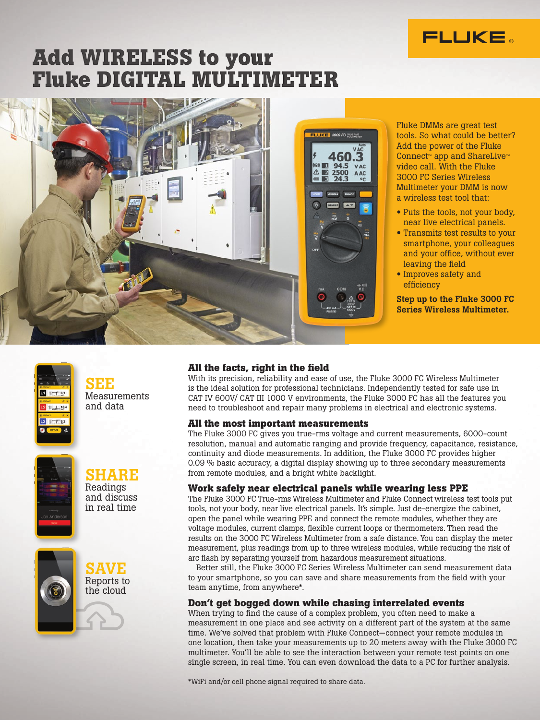

# **Add WIRELESS to your Fluke DIGITAL MULTIMETER**



Fluke DMMs are great test tools. So what could be better? Add the power of the Fluke Connect™ app and ShareLive™ video call. With the Fluke 3000 FC Series Wireless Multimeter your DMM is now a wireless test tool that:

- Puts the tools, not your body, near live electrical panels.
- Transmits test results to your smartphone, your colleagues and your office, without ever leaving the field
- Improves safety and efficiency
- Step up to the Fluke 3000 FC Series Wireless Multimeter.



# SEE Measurements and data



### SHARE Readings

and discuss in real time



## SAVE Reports to the cloud

### **All the facts, right in the field**

With its precision, reliability and ease of use, the Fluke 3000 FC Wireless Multimeter is the ideal solution for professional technicians. Independently tested for safe use in CAT IV 600V/ CAT III 1000 V environments, the Fluke 3000 FC has all the features you need to troubleshoot and repair many problems in electrical and electronic systems.

### **All the most important measurements**

The Fluke 3000 FC gives you true-rms voltage and current measurements, 6000-count resolution, manual and automatic ranging and provide frequency, capacitance, resistance, continuity and diode measurements. In addition, the Fluke 3000 FC provides higher 0.09 % basic accuracy, a digital display showing up to three secondary measurements from remote modules, and a bright white backlight.

### **Work safely near electrical panels while wearing less PPE**

The Fluke 3000 FC True-rms Wireless Multimeter and Fluke Connect wireless test tools put tools, not your body, near live electrical panels. It's simple. Just de-energize the cabinet, open the panel while wearing PPE and connect the remote modules, whether they are voltage modules, current clamps, flexible current loops or thermometers. Then read the results on the 3000 FC Wireless Multimeter from a safe distance. You can display the meter measurement, plus readings from up to three wireless modules, while reducing the risk of arc flash by separating yourself from hazardous measurement situations.

Better still, the Fluke 3000 FC Series Wireless Multimeter can send measurement data to your smartphone, so you can save and share measurements from the field with your team anytime, from anywhere\*.

### **Don't get bogged down while chasing interrelated events**

When trying to find the cause of a complex problem, you often need to make a measurement in one place and see activity on a different part of the system at the same time. We've solved that problem with Fluke Connect—connect your remote modules in one location, then take your measurements up to 20 meters away with the Fluke 3000 FC multimeter. You'll be able to see the interaction between your remote test points on one single screen, in real time. You can even download the data to a PC for further analysis.

\*WiFi and/or cell phone signal required to share data.